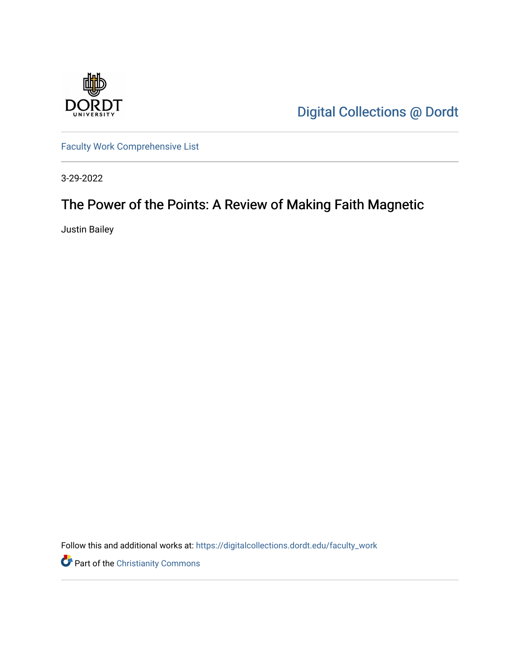

[Digital Collections @ Dordt](https://digitalcollections.dordt.edu/) 

[Faculty Work Comprehensive List](https://digitalcollections.dordt.edu/faculty_work)

3-29-2022

# The Power of the Points: A Review of Making Faith Magnetic

Justin Bailey

Follow this and additional works at: [https://digitalcollections.dordt.edu/faculty\\_work](https://digitalcollections.dordt.edu/faculty_work?utm_source=digitalcollections.dordt.edu%2Ffaculty_work%2F1379&utm_medium=PDF&utm_campaign=PDFCoverPages) 

Part of the [Christianity Commons](http://network.bepress.com/hgg/discipline/1181?utm_source=digitalcollections.dordt.edu%2Ffaculty_work%2F1379&utm_medium=PDF&utm_campaign=PDFCoverPages)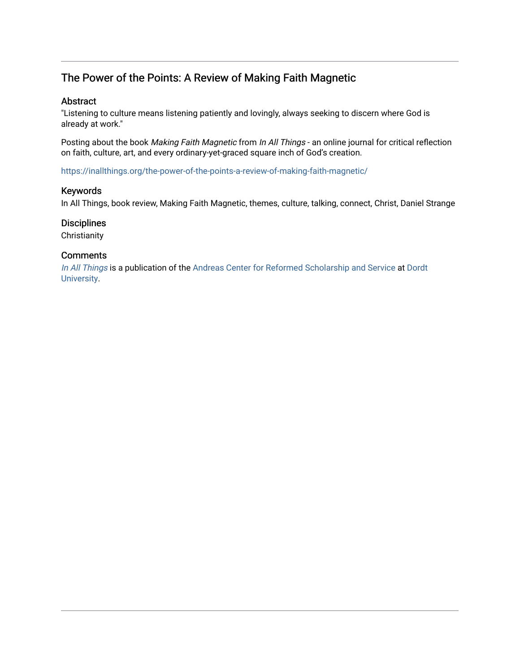## The Power of the Points: A Review of Making Faith Magnetic

#### Abstract

"Listening to culture means listening patiently and lovingly, always seeking to discern where God is already at work."

Posting about the book Making Faith Magnetic from In All Things - an online journal for critical reflection on faith, culture, art, and every ordinary-yet-graced square inch of God's creation.

<https://inallthings.org/the-power-of-the-points-a-review-of-making-faith-magnetic/>

#### Keywords

In All Things, book review, Making Faith Magnetic, themes, culture, talking, connect, Christ, Daniel Strange

#### **Disciplines**

**Christianity** 

#### **Comments**

[In All Things](http://inallthings.org/) is a publication of the [Andreas Center for Reformed Scholarship and Service](http://www.dordt.edu/services_support/andreas_center/) at Dordt [University](http://www.dordt.edu/).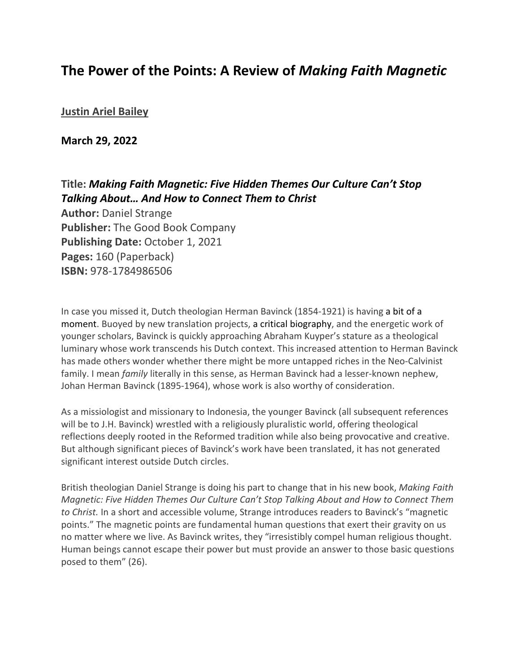## **The Power of the Points: A Review of** *Making Faith Magnetic*

### **[Justin Ariel Bailey](https://inallthings.org/author/justin-bailey/)**

**March 29, 2022**

### **Title:** *Making Faith Magnetic: Five Hidden Themes Our Culture Can't Stop Talking About… And How to Connect Them to Christ*

**Author:** Daniel Strange **Publisher:** The Good Book Company **Publishing Date:** October 1, 2021 **Pages:** 160 (Paperback) **ISBN:** 978-1784986506

In case you missed it, Dutch theologian Herman Bavinck (1854-1921) is having a bit of a moment. Buoyed by new translation projects, a critical biography, and the energetic work of younger scholars, Bavinck is quickly approaching Abraham Kuyper's stature as a theological luminary whose work transcends his Dutch context. This increased attention to Herman Bavinck has made others wonder whether there might be more untapped riches in the Neo-Calvinist family. I mean *family* literally in this sense, as Herman Bavinck had a lesser-known nephew, Johan Herman Bavinck (1895-1964), whose work is also worthy of consideration.

As a missiologist and missionary to Indonesia, the younger Bavinck (all subsequent references will be to J.H. Bavinck) wrestled with a religiously pluralistic world, offering theological reflections deeply rooted in the Reformed tradition while also being provocative and creative. But although significant pieces of Bavinck's work have been translated, it has not generated significant interest outside Dutch circles.

British theologian Daniel Strange is doing his part to change that in his new book, *Making Faith Magnetic: Five Hidden Themes Our Culture Can't Stop Talking About and How to Connect Them to Christ.* In a short and accessible volume, Strange introduces readers to Bavinck's "magnetic points." The magnetic points are fundamental human questions that exert their gravity on us no matter where we live. As Bavinck writes, they "irresistibly compel human religious thought. Human beings cannot escape their power but must provide an answer to those basic questions posed to them" (26).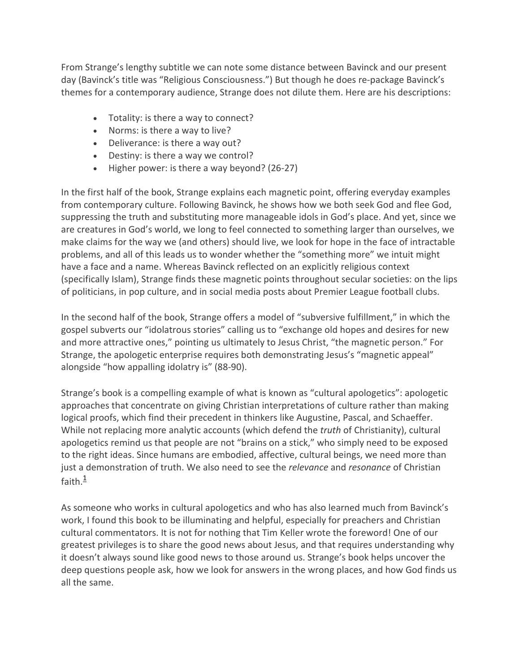From Strange's lengthy subtitle we can note some distance between Bavinck and our present day (Bavinck's title was "Religious Consciousness.") But though he does re-package Bavinck's themes for a contemporary audience, Strange does not dilute them. Here are his descriptions:

- Totality: is there a way to connect?
- Norms: is there a way to live?
- Deliverance: is there a way out?
- Destiny: is there a way we control?
- Higher power: is there a way beyond? (26-27)

In the first half of the book, Strange explains each magnetic point, offering everyday examples from contemporary culture. Following Bavinck, he shows how we both seek God and flee God, suppressing the truth and substituting more manageable idols in God's place. And yet, since we are creatures in God's world, we long to feel connected to something larger than ourselves, we make claims for the way we (and others) should live, we look for hope in the face of intractable problems, and all of this leads us to wonder whether the "something more" we intuit might have a face and a name. Whereas Bavinck reflected on an explicitly religious context (specifically Islam), Strange finds these magnetic points throughout secular societies: on the lips of politicians, in pop culture, and in social media posts about Premier League football clubs.

In the second half of the book, Strange offers a model of "subversive fulfillment," in which the gospel subverts our "idolatrous stories" calling us to "exchange old hopes and desires for new and more attractive ones," pointing us ultimately to Jesus Christ, "the magnetic person." For Strange, the apologetic enterprise requires both demonstrating Jesus's "magnetic appeal" alongside "how appalling idolatry is" (88-90).

Strange's book is a compelling example of what is known as "cultural apologetics": apologetic approaches that concentrate on giving Christian interpretations of culture rather than making logical proofs, which find their precedent in thinkers like Augustine, Pascal, and Schaeffer. While not replacing more analytic accounts (which defend the *truth* of Christianity), cultural apologetics remind us that people are not "brains on a stick," who simply need to be exposed to the right ideas. Since humans are embodied, affective, cultural beings, we need more than just a demonstration of truth. We also need to see the *relevance* and *resonance* of Christian faith. $\frac{1}{1}$ 

As someone who works in cultural apologetics and who has also learned much from Bavinck's work, I found this book to be illuminating and helpful, especially for preachers and Christian cultural commentators. It is not for nothing that Tim Keller wrote the foreword! One of our greatest privileges is to share the good news about Jesus, and that requires understanding why it doesn't always sound like good news to those around us. Strange's book helps uncover the deep questions people ask, how we look for answers in the wrong places, and how God finds us all the same.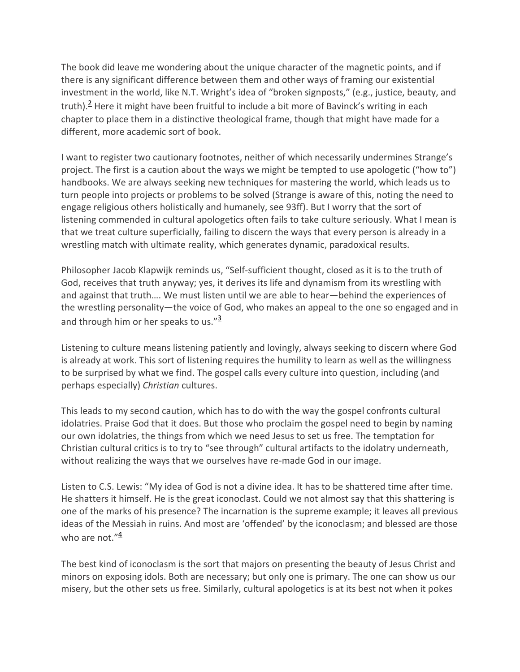The book did leave me wondering about the unique character of the magnetic points, and if there is any significant difference between them and other ways of framing our existential investment in the world, like N.T. Wright's idea of "broken signposts," (e.g., justice, beauty, and truth).<sup>2</sup> Here it might have been fruitful to include a bit more of Bavinck's writing in each chapter to place them in a distinctive theological frame, though that might have made for a different, more academic sort of book.

I want to register two cautionary footnotes, neither of which necessarily undermines Strange's project. The first is a caution about the ways we might be tempted to use apologetic ("how to") handbooks. We are always seeking new techniques for mastering the world, which leads us to turn people into projects or problems to be solved (Strange is aware of this, noting the need to engage religious others holistically and humanely, see 93ff). But I worry that the sort of listening commended in cultural apologetics often fails to take culture seriously. What I mean is that we treat culture superficially, failing to discern the ways that every person is already in a wrestling match with ultimate reality, which generates dynamic, paradoxical results.

Philosopher Jacob Klapwijk reminds us, "Self-sufficient thought, closed as it is to the truth of God, receives that truth anyway; yes, it derives its life and dynamism from its wrestling with and against that truth…. We must listen until we are able to hear—behind the experiences of the wrestling personality—the voice of God, who makes an appeal to the one so engaged and in and through him or her speaks to us."<sup>3</sup>

Listening to culture means listening patiently and lovingly, always seeking to discern where God is already at work. This sort of listening requires the humility to learn as well as the willingness to be surprised by what we find. The gospel calls every culture into question, including (and perhaps especially) *Christian* cultures.

This leads to my second caution, which has to do with the way the gospel confronts cultural idolatries. Praise God that it does. But those who proclaim the gospel need to begin by naming our own idolatries, the things from which we need Jesus to set us free. The temptation for Christian cultural critics is to try to "see through" cultural artifacts to the idolatry underneath, without realizing the ways that we ourselves have re-made God in our image.

Listen to C.S. Lewis: "My idea of God is not a divine idea. It has to be shattered time after time. He shatters it himself. He is the great iconoclast. Could we not almost say that this shattering is one of the marks of his presence? The incarnation is the supreme example; it leaves all previous ideas of the Messiah in ruins. And most are 'offended' by the iconoclasm; and blessed are those who are not." $\frac{4}{3}$ 

The best kind of iconoclasm is the sort that majors on presenting the beauty of Jesus Christ and minors on exposing idols. Both are necessary; but only one is primary. The one can show us our misery, but the other sets us free. Similarly, cultural apologetics is at its best not when it pokes